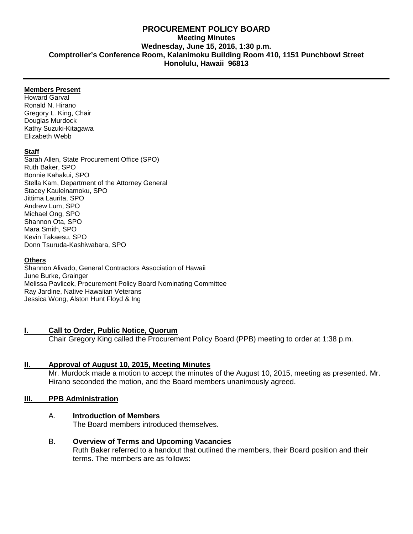# **PROCUREMENT POLICY BOARD Meeting Minutes Wednesday, June 15, 2016, 1:30 p.m. Comptroller's Conference Room, Kalanimoku Building Room 410, 1151 Punchbowl Street Honolulu, Hawaii 96813**

### **Members Present**

Howard Garval Ronald N. Hirano Gregory L. King, Chair Douglas Murdock Kathy Suzuki-Kitagawa Elizabeth Webb

### **Staff**

Sarah Allen, State Procurement Office (SPO) Ruth Baker, SPO Bonnie Kahakui, SPO Stella Kam, Department of the Attorney General Stacey Kauleinamoku, SPO Jittima Laurita, SPO Andrew Lum, SPO Michael Ong, SPO Shannon Ota, SPO Mara Smith, SPO Kevin Takaesu, SPO Donn Tsuruda-Kashiwabara, SPO

### **Others**

Shannon Alivado, General Contractors Association of Hawaii June Burke, Grainger Melissa Pavlicek, Procurement Policy Board Nominating Committee Ray Jardine, Native Hawaiian Veterans Jessica Wong, Alston Hunt Floyd & Ing

# **I. Call to Order, Public Notice, Quorum**

Chair Gregory King called the Procurement Policy Board (PPB) meeting to order at 1:38 p.m.

# **II. Approval of August 10, 2015, [Meeting Minutes](http://spo.hawaii.gov/wp-content/uploads/2014/10/2014_0929-PROCUREMENT-POLICY-BOARD-minutes-DRAFT.pdf)**

Mr. Murdock made a motion to accept the minutes of the August 10, 2015, meeting as presented. Mr. Hirano seconded the motion, and the Board members unanimously agreed.

# **III. PPB Administration**

# A. **Introduction of Members**

The Board members introduced themselves.

B. **Overview of Terms and Upcoming Vacancies** Ruth Baker referred to a handout that outlined the members, their Board position and their terms. The members are as follows: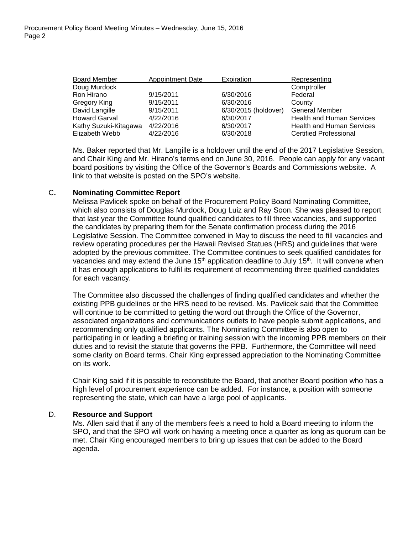| <b>Board Member</b>   | <b>Appointment Date</b> | Expiration           | Representing                     |
|-----------------------|-------------------------|----------------------|----------------------------------|
| Doug Murdock          |                         |                      | Comptroller                      |
| Ron Hirano            | 9/15/2011               | 6/30/2016            | Federal                          |
| Gregory King          | 9/15/2011               | 6/30/2016            | County                           |
| David Langille        | 9/15/2011               | 6/30/2015 (holdover) | <b>General Member</b>            |
| <b>Howard Garval</b>  | 4/22/2016               | 6/30/2017            | <b>Health and Human Services</b> |
| Kathy Suzuki-Kitagawa | 4/22/2016               | 6/30/2017            | <b>Health and Human Services</b> |
| Elizabeth Webb        | 4/22/2016               | 6/30/2018            | <b>Certified Professional</b>    |

Ms. Baker reported that Mr. Langille is a holdover until the end of the 2017 Legislative Session, and Chair King and Mr. Hirano's terms end on June 30, 2016. People can apply for any vacant board positions by visiting the Office of the Governor's Boards and Commissions website. A link to that website is posted on the SPO's website.

### C**. Nominating Committee Report**

Melissa Pavlicek spoke on behalf of the Procurement Policy Board Nominating Committee, which also consists of Douglas Murdock, Doug Luiz and Ray Soon. She was pleased to report that last year the Committee found qualified candidates to fill three vacancies, and supported the candidates by preparing them for the Senate confirmation process during the 2016 Legislative Session. The Committee convened in May to discuss the need to fill vacancies and review operating procedures per the Hawaii Revised Statues (HRS) and guidelines that were adopted by the previous committee. The Committee continues to seek qualified candidates for vacancies and may extend the June 15<sup>th</sup> application deadline to July 15<sup>th</sup>. It will convene when it has enough applications to fulfil its requirement of recommending three qualified candidates for each vacancy.

The Committee also discussed the challenges of finding qualified candidates and whether the existing PPB guidelines or the HRS need to be revised. Ms. Pavlicek said that the Committee will continue to be committed to getting the word out through the Office of the Governor, associated organizations and communications outlets to have people submit applications, and recommending only qualified applicants. The Nominating Committee is also open to participating in or leading a briefing or training session with the incoming PPB members on their duties and to revisit the statute that governs the PPB. Furthermore, the Committee will need some clarity on Board terms. Chair King expressed appreciation to the Nominating Committee on its work.

Chair King said if it is possible to reconstitute the Board, that another Board position who has a high level of procurement experience can be added. For instance, a position with someone representing the state, which can have a large pool of applicants.

### D. **Resource and Support**

Ms. Allen said that if any of the members feels a need to hold a Board meeting to inform the SPO, and that the SPO will work on having a meeting once a quarter as long as quorum can be met. Chair King encouraged members to bring up issues that can be added to the Board agenda.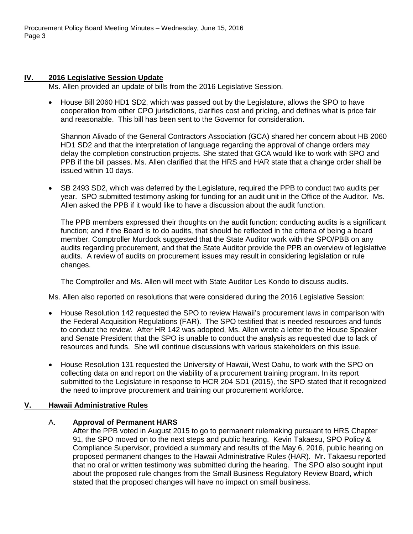# **IV. 2016 Legislative Session Update**

Ms. Allen provided an update of bills from the 2016 Legislative Session.

• House Bill 2060 HD1 SD2, which was passed out by the Legislature, allows the SPO to have cooperation from other CPO jurisdictions, clarifies cost and pricing, and defines what is price fair and reasonable. This bill has been sent to the Governor for consideration.

Shannon Alivado of the General Contractors Association (GCA) shared her concern about HB 2060 HD1 SD2 and that the interpretation of language regarding the approval of change orders may delay the completion construction projects. She stated that GCA would like to work with SPO and PPB if the bill passes. Ms. Allen clarified that the HRS and HAR state that a change order shall be issued within 10 days.

• SB 2493 SD2, which was deferred by the Legislature, required the PPB to conduct two audits per year. SPO submitted testimony asking for funding for an audit unit in the Office of the Auditor. Ms. Allen asked the PPB if it would like to have a discussion about the audit function.

The PPB members expressed their thoughts on the audit function: conducting audits is a significant function; and if the Board is to do audits, that should be reflected in the criteria of being a board member. Comptroller Murdock suggested that the State Auditor work with the SPO/PBB on any audits regarding procurement, and that the State Auditor provide the PPB an overview of legislative audits. A review of audits on procurement issues may result in considering legislation or rule changes.

The Comptroller and Ms. Allen will meet with State Auditor Les Kondo to discuss audits.

Ms. Allen also reported on resolutions that were considered during the 2016 Legislative Session:

- House Resolution 142 requested the SPO to review Hawaii's procurement laws in comparison with the Federal Acquisition Regulations (FAR). The SPO testified that is needed resources and funds to conduct the review. After HR 142 was adopted, Ms. Allen wrote a letter to the House Speaker and Senate President that the SPO is unable to conduct the analysis as requested due to lack of resources and funds. She will continue discussions with various stakeholders on this issue.
- House Resolution 131 requested the University of Hawaii, West Oahu, to work with the SPO on collecting data on and report on the viability of a procurement training program. In its report submitted to the Legislature in response to HCR 204 SD1 (2015), the SPO stated that it recognized the need to improve procurement and training our procurement workforce.

# **V. Hawaii Administrative Rules**

# A. **Approval of Permanent HARS**

After the PPB voted in August 2015 to go to permanent rulemaking pursuant to HRS Chapter 91, the SPO moved on to the next steps and public hearing. Kevin Takaesu, SPO Policy & Compliance Supervisor, provided a summary and results of the May 6, 2016, public hearing on proposed permanent changes to the Hawaii Administrative Rules (HAR). Mr. Takaesu reported that no oral or written testimony was submitted during the hearing. The SPO also sought input about the proposed rule changes from the Small Business Regulatory Review Board, which stated that the proposed changes will have no impact on small business.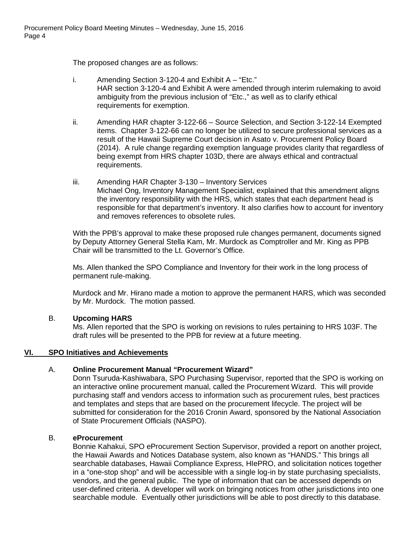The proposed changes are as follows:

- i. Amending Section 3-120-4 and Exhibit A "Etc." HAR section 3-120-4 and Exhibit A were amended through interim rulemaking to avoid ambiguity from the previous inclusion of "Etc.," as well as to clarify ethical requirements for exemption.
- ii. Amending HAR chapter 3-122-66 Source Selection, and Section 3-122-14 Exempted items. Chapter 3-122-66 can no longer be utilized to secure professional services as a result of the Hawaii Supreme Court decision in Asato v. Procurement Policy Board (2014). A rule change regarding exemption language provides clarity that regardless of being exempt from HRS chapter 103D, there are always ethical and contractual requirements.
- iii. Amending HAR Chapter 3-130 Inventory Services Michael Ong, Inventory Management Specialist, explained that this amendment aligns the inventory responsibility with the HRS, which states that each department head is responsible for that department's inventory. It also clarifies how to account for inventory and removes references to obsolete rules.

With the PPB's approval to make these proposed rule changes permanent, documents signed by Deputy Attorney General Stella Kam, Mr. Murdock as Comptroller and Mr. King as PPB Chair will be transmitted to the Lt. Governor's Office.

Ms. Allen thanked the SPO Compliance and Inventory for their work in the long process of permanent rule-making.

Murdock and Mr. Hirano made a motion to approve the permanent HARS, which was seconded by Mr. Murdock. The motion passed.

# B. **Upcoming HARS**

Ms. Allen reported that the SPO is working on revisions to rules pertaining to HRS 103F. The draft rules will be presented to the PPB for review at a future meeting.

# **VI. SPO Initiatives and Achievements**

# A. **Online Procurement Manual "Procurement Wizard"**

Donn Tsuruda-Kashiwabara, SPO Purchasing Supervisor, reported that the SPO is working on an interactive online procurement manual, called the Procurement Wizard. This will provide purchasing staff and vendors access to information such as procurement rules, best practices and templates and steps that are based on the procurement lifecycle. The project will be submitted for consideration for the 2016 Cronin Award, sponsored by the National Association of State Procurement Officials (NASPO).

# B. **eProcurement**

Bonnie Kahakui, SPO eProcurement Section Supervisor, provided a report on another project, the Hawaii Awards and Notices Database system, also known as "HANDS." This brings all searchable databases, Hawaii Compliance Express, HIePRO, and solicitation notices together in a "one-stop shop" and will be accessible with a single log-in by state purchasing specialists, vendors, and the general public. The type of information that can be accessed depends on user-defined criteria. A developer will work on bringing notices from other jurisdictions into one searchable module. Eventually other jurisdictions will be able to post directly to this database.